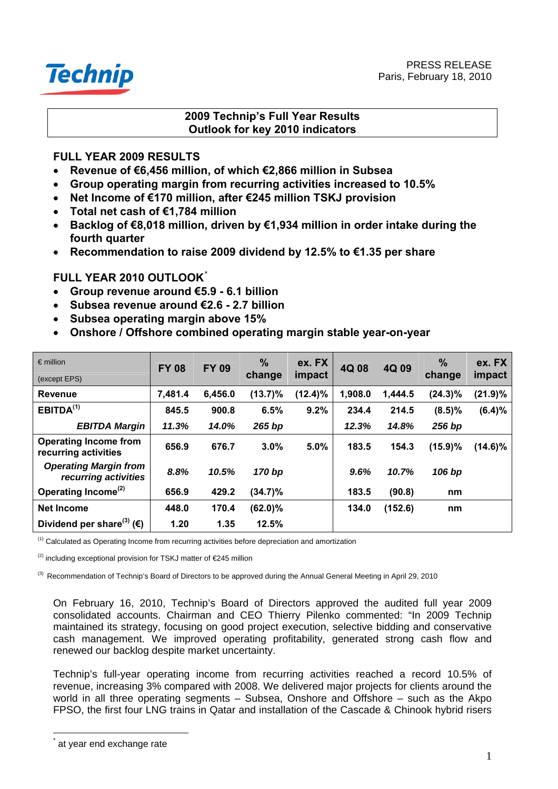

### **2009 Technip's Full Year Results Outlook for key 2010 indicators**

## **FULL YEAR 2009 RESULTS**

- **Revenue of €6,456 million, of which €2,866 million in Subsea**
- **Group operating margin from recurring activities increased to 10.5%**
- **Net Income of €170 million, after €245 million TSKJ provision**
- **Total net cash of €1,784 million**
- **Backlog of €8,018 million, driven by €1,934 million in order intake during the fourth quarter**
- **Recommendation to raise 2009 dividend by 12.5% to €1.35 per share**

## **FULL YEAR 2010 OUTLOOK***[\\*](#page-0-0)*

- **Group revenue around €5.9 6.1 billion**
- **Subsea revenue around €2.6 2.7 billion**
- **Subsea operating margin above 15%**
- **Onshore / Offshore combined operating margin stable year-on-year**

| $\epsilon$ million<br>(except EPS)                   | <b>FY 08</b> | <b>FY 09</b> | %<br>change | ex. FX<br>impact | 4Q 08   | 4Q 09   | $\%$<br>change | ex. FX<br>impact |
|------------------------------------------------------|--------------|--------------|-------------|------------------|---------|---------|----------------|------------------|
| <b>Revenue</b>                                       | 7,481.4      | 6,456.0      | $(13.7)\%$  | $(12.4)\%$       | 1,908.0 | 1,444.5 | $(24.3)\%$     | (21.9)%          |
| EBITDA <sup>(1)</sup>                                | 845.5        | 900.8        | 6.5%        | 9.2%             | 234.4   | 214.5   | $(8.5)\%$      | (6.4)%           |
| <b>EBITDA Margin</b>                                 | 11.3%        | 14.0%        | 265 bp      |                  | 12.3%   | 14.8%   | 256 bp         |                  |
| <b>Operating Income from</b><br>recurring activities | 656.9        | 676.7        | 3.0%        | 5.0%             | 183.5   | 154.3   | (15.9)%        | $(14.6)\%$       |
| <b>Operating Margin from</b><br>recurring activities | 8.8%         | 10.5%        | 170 bp      |                  | 9.6%    | 10.7%   | 106 bp         |                  |
| Operating Income <sup>(2)</sup>                      | 656.9        | 429.2        | $(34.7)\%$  |                  | 183.5   | (90.8)  | nm             |                  |
| <b>Net Income</b>                                    | 448.0        | 170.4        | $(62.0)\%$  |                  | 134.0   | (152.6) | nm             |                  |
| Dividend per share <sup>(3)</sup> ( $\epsilon$ )     | 1.20         | 1.35         | 12.5%       |                  |         |         |                |                  |

(1) Calculated as Operating Income from recurring activities before depreciation and amortization

 $^{(2)}$  including exceptional provision for TSKJ matter of €245 million

 $(3)$  Recommendation of Technip's Board of Directors to be approved during the Annual General Meeting in April 29, 2010

On February 16, 2010, Technip's Board of Directors approved the audited full year 2009 consolidated accounts. Chairman and CEO Thierry Pilenko commented: "In 2009 Technip maintained its strategy, focusing on good project execution, selective bidding and conservative cash management. We improved operating profitability, generated strong cash flow and renewed our backlog despite market uncertainty.

Technip's full-year operating income from recurring activities reached a record 10.5% of revenue, increasing 3% compared with 2008. We delivered major projects for clients around the world in all three operating segments – Subsea, Onshore and Offshore – such as the Akpo FPSO, the first four LNG trains in Qatar and installation of the Cascade & Chinook hybrid risers

 $\overline{a}$ 

<span id="page-0-0"></span><sup>\*</sup> at year end exchange rate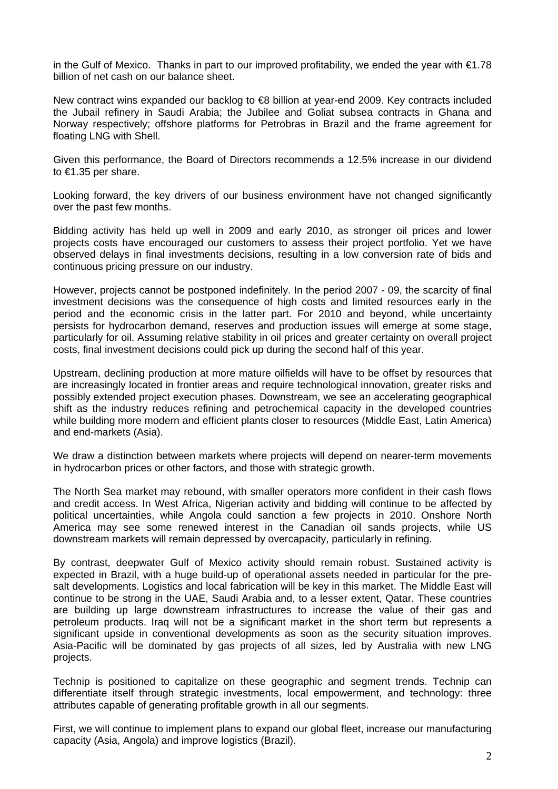in the Gulf of Mexico. Thanks in part to our improved profitability, we ended the year with €1.78 billion of net cash on our balance sheet.

New contract wins expanded our backlog to €8 billion at year-end 2009. Key contracts included the Jubail refinery in Saudi Arabia; the Jubilee and Goliat subsea contracts in Ghana and Norway respectively; offshore platforms for Petrobras in Brazil and the frame agreement for floating LNG with Shell.

Given this performance, the Board of Directors recommends a 12.5% increase in our dividend to €1.35 per share.

Looking forward, the key drivers of our business environment have not changed significantly over the past few months.

Bidding activity has held up well in 2009 and early 2010, as stronger oil prices and lower projects costs have encouraged our customers to assess their project portfolio. Yet we have observed delays in final investments decisions, resulting in a low conversion rate of bids and continuous pricing pressure on our industry.

However, projects cannot be postponed indefinitely. In the period 2007 - 09, the scarcity of final investment decisions was the consequence of high costs and limited resources early in the period and the economic crisis in the latter part. For 2010 and beyond, while uncertainty persists for hydrocarbon demand, reserves and production issues will emerge at some stage, particularly for oil. Assuming relative stability in oil prices and greater certainty on overall project costs, final investment decisions could pick up during the second half of this year.

Upstream, declining production at more mature oilfields will have to be offset by resources that are increasingly located in frontier areas and require technological innovation, greater risks and possibly extended project execution phases. Downstream, we see an accelerating geographical shift as the industry reduces refining and petrochemical capacity in the developed countries while building more modern and efficient plants closer to resources (Middle East, Latin America) and end-markets (Asia).

We draw a distinction between markets where projects will depend on nearer-term movements in hydrocarbon prices or other factors, and those with strategic growth.

The North Sea market may rebound, with smaller operators more confident in their cash flows and credit access. In West Africa, Nigerian activity and bidding will continue to be affected by political uncertainties, while Angola could sanction a few projects in 2010. Onshore North America may see some renewed interest in the Canadian oil sands projects, while US downstream markets will remain depressed by overcapacity, particularly in refining.

By contrast, deepwater Gulf of Mexico activity should remain robust. Sustained activity is expected in Brazil, with a huge build-up of operational assets needed in particular for the presalt developments. Logistics and local fabrication will be key in this market. The Middle East will continue to be strong in the UAE, Saudi Arabia and, to a lesser extent, Qatar. These countries are building up large downstream infrastructures to increase the value of their gas and petroleum products. Iraq will not be a significant market in the short term but represents a significant upside in conventional developments as soon as the security situation improves. Asia-Pacific will be dominated by gas projects of all sizes, led by Australia with new LNG projects.

Technip is positioned to capitalize on these geographic and segment trends. Technip can differentiate itself through strategic investments, local empowerment, and technology: three attributes capable of generating profitable growth in all our segments.

First, we will continue to implement plans to expand our global fleet, increase our manufacturing capacity (Asia, Angola) and improve logistics (Brazil).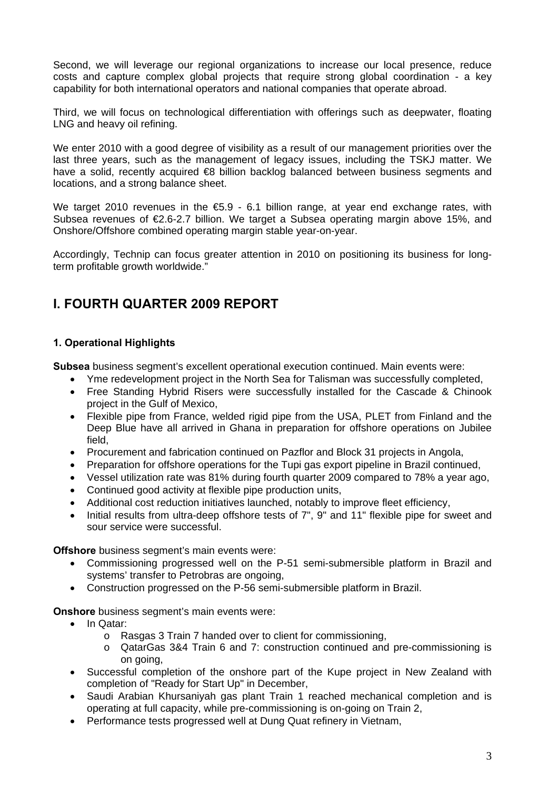Second, we will leverage our regional organizations to increase our local presence, reduce costs and capture complex global projects that require strong global coordination - a key capability for both international operators and national companies that operate abroad.

Third, we will focus on technological differentiation with offerings such as deepwater, floating LNG and heavy oil refining.

We enter 2010 with a good degree of visibility as a result of our management priorities over the last three years, such as the management of legacy issues, including the TSKJ matter. We have a solid, recently acquired €8 billion backlog balanced between business segments and locations, and a strong balance sheet.

We target 2010 revenues in the  $65.9$  - 6.1 billion range, at year end exchange rates, with Subsea revenues of €2.6-2.7 billion. We target a Subsea operating margin above 15%, and Onshore/Offshore combined operating margin stable year-on-year.

Accordingly, Technip can focus greater attention in 2010 on positioning its business for longterm profitable growth worldwide."

# **I. FOURTH QUARTER 2009 REPORT**

### **1. Operational Highlights**

**Subsea** business segment's excellent operational execution continued. Main events were:

- Yme redevelopment project in the North Sea for Talisman was successfully completed,
- Free Standing Hybrid Risers were successfully installed for the Cascade & Chinook project in the Gulf of Mexico,
- Flexible pipe from France, welded rigid pipe from the USA, PLET from Finland and the Deep Blue have all arrived in Ghana in preparation for offshore operations on Jubilee field,
- Procurement and fabrication continued on Pazflor and Block 31 projects in Angola,
- Preparation for offshore operations for the Tupi gas export pipeline in Brazil continued,
- Vessel utilization rate was 81% during fourth quarter 2009 compared to 78% a year ago,
- Continued good activity at flexible pipe production units,
- Additional cost reduction initiatives launched, notably to improve fleet efficiency,
- Initial results from ultra-deep offshore tests of 7", 9" and 11" flexible pipe for sweet and sour service were successful.

**Offshore** business segment's main events were:

- Commissioning progressed well on the P-51 semi-submersible platform in Brazil and systems' transfer to Petrobras are ongoing,
- Construction progressed on the P-56 semi-submersible platform in Brazil.

**Onshore** business segment's main events were:

- In Qatar:
	- o Rasgas 3 Train 7 handed over to client for commissioning,
	- o QatarGas 3&4 Train 6 and 7: construction continued and pre-commissioning is on going,
- Successful completion of the onshore part of the Kupe project in New Zealand with completion of "Ready for Start Up" in December,
- Saudi Arabian Khursaniyah gas plant Train 1 reached mechanical completion and is operating at full capacity, while pre-commissioning is on-going on Train 2,
- Performance tests progressed well at Dung Quat refinery in Vietnam,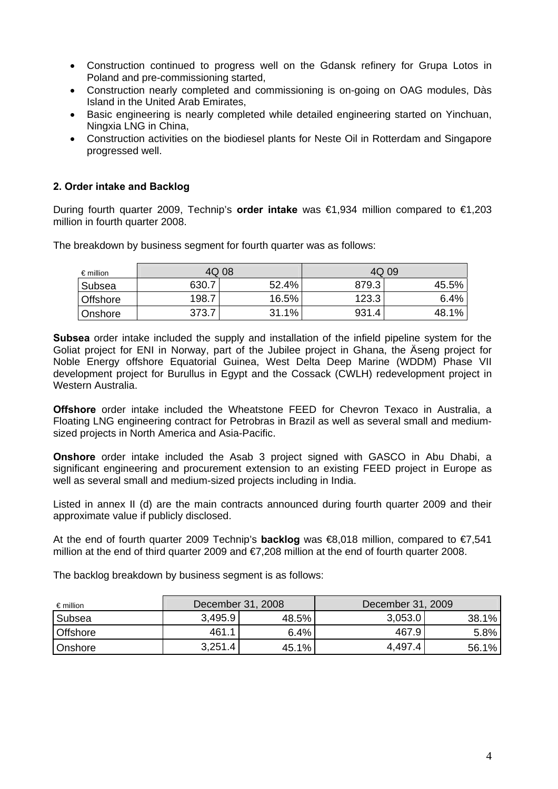- Construction continued to progress well on the Gdansk refinery for Grupa Lotos in Poland and pre-commissioning started,
- Construction nearly completed and commissioning is on-going on OAG modules, Dàs Island in the United Arab Emirates,
- Basic engineering is nearly completed while detailed engineering started on Yinchuan, Ningxia LNG in China,
- Construction activities on the biodiesel plants for Neste Oil in Rotterdam and Singapore progressed well.

#### **2. Order intake and Backlog**

During fourth quarter 2009, Technip's **order intake** was €1,934 million compared to €1,203 million in fourth quarter 2008.

The breakdown by business segment for fourth quarter was as follows:

| $\epsilon$ million |       | 4Q 08 | 4Q 09 |       |
|--------------------|-------|-------|-------|-------|
| Subsea             | 630.7 | 52.4% | 879.3 | 45.5% |
| <b>Offshore</b>    | 198.7 | 16.5% | 123.3 | 6.4%  |
| Onshore            | 373.7 | 31.1% | 931.4 | 48.1% |

**Subsea** order intake included the supply and installation of the infield pipeline system for the Goliat project for ENI in Norway, part of the Jubilee project in Ghana, the Äseng project for Noble Energy offshore Equatorial Guinea, West Delta Deep Marine (WDDM) Phase VII development project for Burullus in Egypt and the Cossack (CWLH) redevelopment project in Western Australia.

**Offshore** order intake included the Wheatstone FEED for Chevron Texaco in Australia, a Floating LNG engineering contract for Petrobras in Brazil as well as several small and mediumsized projects in North America and Asia-Pacific.

**Onshore** order intake included the Asab 3 project signed with GASCO in Abu Dhabi, a significant engineering and procurement extension to an existing FEED project in Europe as well as several small and medium-sized projects including in India.

Listed in annex II (d) are the main contracts announced during fourth quarter 2009 and their approximate value if publicly disclosed.

At the end of fourth quarter 2009 Technip's **backlog** was €8,018 million, compared to €7,541 million at the end of third quarter 2009 and €7,208 million at the end of fourth quarter 2008.

The backlog breakdown by business segment is as follows:

| $\epsilon$ million |         | December 31, 2008 | December 31, 2009 |         |  |
|--------------------|---------|-------------------|-------------------|---------|--|
| Subsea             | 3,495.9 | 48.5%             | 3,053.0           | 38.1%   |  |
| <b>Offshore</b>    | 461.1   | 6.4%              | 467.9             | $5.8\%$ |  |
| <b>Onshore</b>     | 3,251.4 | 45.1%             | 4,497.4           | 56.1%   |  |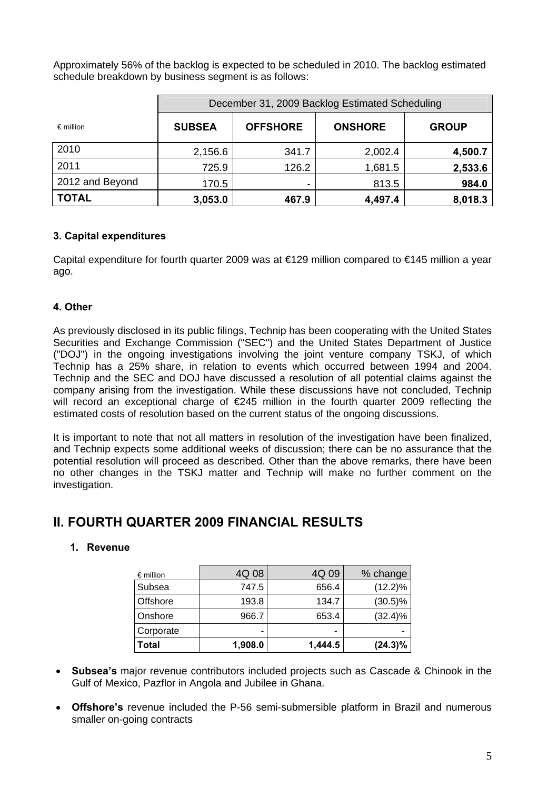Approximately 56% of the backlog is expected to be scheduled in 2010. The backlog estimated schedule breakdown by business segment is as follows:

|                    | December 31, 2009 Backlog Estimated Scheduling |                 |                |              |  |  |  |
|--------------------|------------------------------------------------|-----------------|----------------|--------------|--|--|--|
| $\epsilon$ million | <b>SUBSEA</b>                                  | <b>OFFSHORE</b> | <b>ONSHORE</b> | <b>GROUP</b> |  |  |  |
| 2010               | 2,156.6                                        | 341.7           | 2,002.4        | 4,500.7      |  |  |  |
| 2011               | 725.9                                          | 126.2           | 1,681.5        | 2,533.6      |  |  |  |
| 2012 and Beyond    | 170.5                                          |                 | 813.5          | 984.0        |  |  |  |
| <b>TOTAL</b>       | 3,053.0                                        | 467.9           | 4,497.4        | 8,018.3      |  |  |  |

#### **3. Capital expenditures**

Capital expenditure for fourth quarter 2009 was at €129 million compared to €145 million a year ago.

#### **4. Other**

As previously disclosed in its public filings, Technip has been cooperating with the United States Securities and Exchange Commission ("SEC") and the United States Department of Justice ("DOJ") in the ongoing investigations involving the joint venture company TSKJ, of which Technip has a 25% share, in relation to events which occurred between 1994 and 2004. Technip and the SEC and DOJ have discussed a resolution of all potential claims against the company arising from the investigation. While these discussions have not concluded, Technip will record an exceptional charge of €245 million in the fourth quarter 2009 reflecting the estimated costs of resolution based on the current status of the ongoing discussions.

It is important to note that not all matters in resolution of the investigation have been finalized, and Technip expects some additional weeks of discussion; there can be no assurance that the potential resolution will proceed as described. Other than the above remarks, there have been no other changes in the TSKJ matter and Technip will make no further comment on the investigation.

## **II. FOURTH QUARTER 2009 FINANCIAL RESULTS**

#### **1. Revenue**

| $\epsilon$ million | 4Q 08   | 4Q 09   | % change   |
|--------------------|---------|---------|------------|
| Subsea             | 747.5   | 656.4   | $(12.2)\%$ |
| Offshore           | 193.8   | 134.7   | $(30.5)\%$ |
| Onshore            | 966.7   | 653.4   | $(32.4)\%$ |
| Corporate          | ۰       |         |            |
| <b>Total</b>       | 1,908.0 | 1,444.5 | $(24.3)\%$ |

- **Subsea's** major revenue contributors included projects such as Cascade & Chinook in the Gulf of Mexico, Pazflor in Angola and Jubilee in Ghana.
- **Offshore's** revenue included the P-56 semi-submersible platform in Brazil and numerous smaller on-going contracts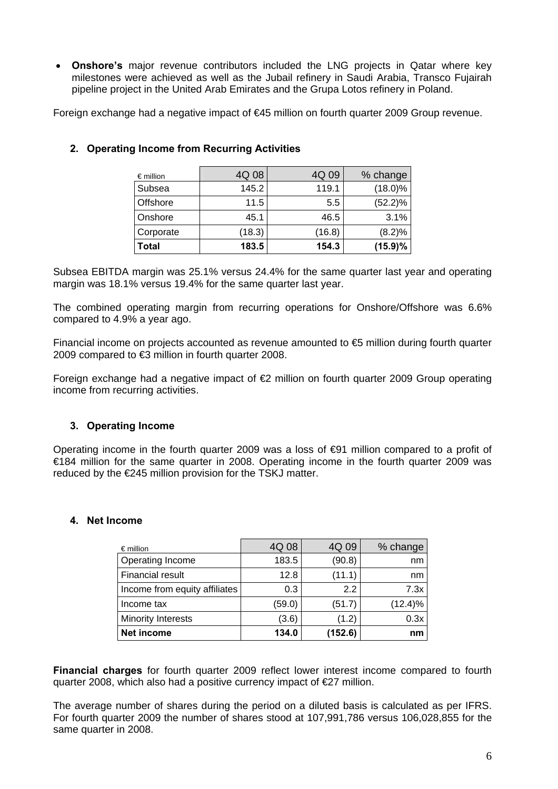• **Onshore's** major revenue contributors included the LNG projects in Qatar where key milestones were achieved as well as the Jubail refinery in Saudi Arabia, Transco Fujairah pipeline project in the United Arab Emirates and the Grupa Lotos refinery in Poland.

Foreign exchange had a negative impact of €45 million on fourth quarter 2009 Group revenue.

| $\epsilon$ million | 4Q 08  | 4Q 09  | % change   |
|--------------------|--------|--------|------------|
| Subsea             | 145.2  | 119.1  | $(18.0)\%$ |
| Offshore           | 11.5   | 5.5    | $(52.2)\%$ |
| Onshore            | 45.1   | 46.5   | 3.1%       |
| Corporate          | (18.3) | (16.8) | (8.2)%     |
| Total              | 183.5  | 154.3  | (15.9)%    |

## **2. Operating Income from Recurring Activities**

Subsea EBITDA margin was 25.1% versus 24.4% for the same quarter last year and operating margin was 18.1% versus 19.4% for the same quarter last year.

The combined operating margin from recurring operations for Onshore/Offshore was 6.6% compared to 4.9% a year ago.

Financial income on projects accounted as revenue amounted to  $\epsilon$ 5 million during fourth quarter 2009 compared to €3 million in fourth quarter 2008.

Foreign exchange had a negative impact of  $E$  million on fourth quarter 2009 Group operating income from recurring activities.

#### **3. Operating Income**

Operating income in the fourth quarter 2009 was a loss of €91 million compared to a profit of €184 million for the same quarter in 2008. Operating income in the fourth quarter 2009 was reduced by the €245 million provision for the TSKJ matter.

#### **4. Net Income**

| $\epsilon$ million            | 4Q 08  | 4Q 09   | % change   |
|-------------------------------|--------|---------|------------|
| Operating Income              | 183.5  | (90.8)  | nm         |
| <b>Financial result</b>       | 12.8   | (11.1)  | nm         |
| Income from equity affiliates | 0.3    | 2.2     | 7.3x       |
| Income tax                    | (59.0) | (51.7)  | $(12.4)\%$ |
| <b>Minority Interests</b>     | (3.6)  | (1.2)   | 0.3x       |
| <b>Net income</b>             | 134.0  | (152.6) | nm         |

**Financial charges** for fourth quarter 2009 reflect lower interest income compared to fourth quarter 2008, which also had a positive currency impact of €27 million.

The average number of shares during the period on a diluted basis is calculated as per IFRS. For fourth quarter 2009 the number of shares stood at 107,991,786 versus 106,028,855 for the same quarter in 2008.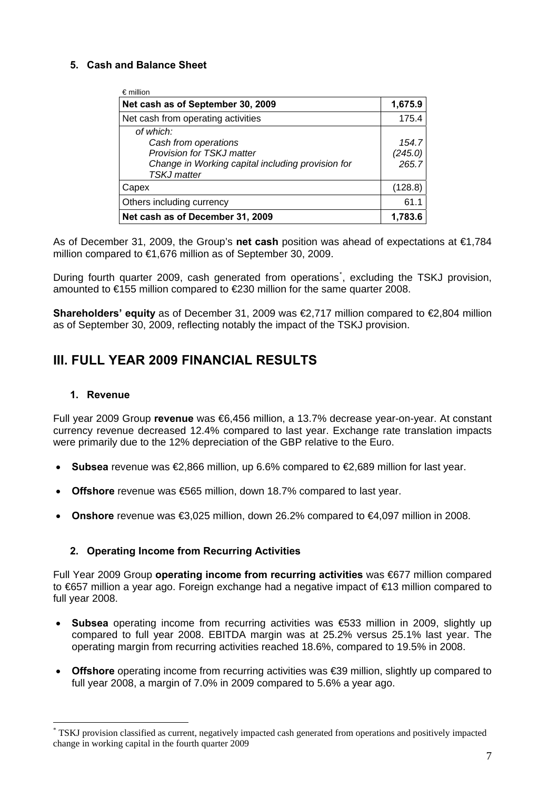## **5. Cash and Balance Sheet**

| $\epsilon$ million                                                                                                                        |                           |
|-------------------------------------------------------------------------------------------------------------------------------------------|---------------------------|
| Net cash as of September 30, 2009                                                                                                         | 1,675.9                   |
| Net cash from operating activities                                                                                                        | 175.4                     |
| of which:<br>Cash from operations<br>Provision for TSKJ matter<br>Change in Working capital including provision for<br><b>TSKJ</b> matter | 154.7<br>(245.0)<br>265.7 |
| Capex                                                                                                                                     | (128.8)                   |
| Others including currency                                                                                                                 | 61.1                      |
| Net cash as of December 31, 2009                                                                                                          | 1.783.6                   |

As of December 31, 2009, the Group's **net cash** position was ahead of expectations at €1,784 million compared to €1,676 million as of September 30, 2009.

During fourth quarter 2009, cash generated from operations<sup>[\\*](#page-6-0)</sup>, excluding the TSKJ provision, amounted to €155 million compared to €230 million for the same quarter 2008.

**Shareholders' equity** as of December 31, 2009 was €2,717 million compared to €2,804 million as of September 30, 2009, reflecting notably the impact of the TSKJ provision.

## **III. FULL YEAR 2009 FINANCIAL RESULTS**

## **1. Revenue**

 $\overline{a}$ 

Full year 2009 Group **revenue** was €6,456 million, a 13.7% decrease year-on-year. At constant currency revenue decreased 12.4% compared to last year. Exchange rate translation impacts were primarily due to the 12% depreciation of the GBP relative to the Euro.

- **Subsea** revenue was €2,866 million, up 6.6% compared to €2,689 million for last year.
- **Offshore** revenue was €565 million, down 18.7% compared to last year.
- **Onshore** revenue was €3,025 million, down 26.2% compared to €4,097 million in 2008.

## **2. Operating Income from Recurring Activities**

Full Year 2009 Group **operating income from recurring activities** was €677 million compared to €657 million a year ago. Foreign exchange had a negative impact of €13 million compared to full year 2008.

- **Subsea** operating income from recurring activities was €533 million in 2009, slightly up compared to full year 2008. EBITDA margin was at 25.2% versus 25.1% last year. The operating margin from recurring activities reached 18.6%, compared to 19.5% in 2008.
- **Offshore** operating income from recurring activities was €39 million, slightly up compared to full year 2008, a margin of 7.0% in 2009 compared to 5.6% a year ago.

<span id="page-6-0"></span><sup>\*</sup> TSKJ provision classified as current, negatively impacted cash generated from operations and positively impacted change in working capital in the fourth quarter 2009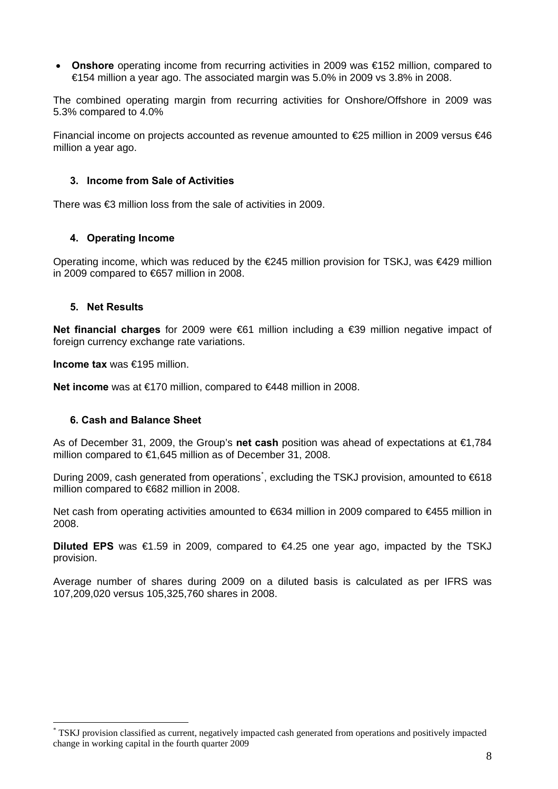• **Onshore** operating income from recurring activities in 2009 was €152 million, compared to €154 million a year ago. The associated margin was 5.0% in 2009 vs 3.8% in 2008.

The combined operating margin from recurring activities for Onshore/Offshore in 2009 was 5.3% compared to 4.0%

Financial income on projects accounted as revenue amounted to €25 million in 2009 versus €46 million a year ago.

#### **3. Income from Sale of Activities**

There was €3 million loss from the sale of activities in 2009.

#### **4. Operating Income**

Operating income, which was reduced by the  $\epsilon$ 245 million provision for TSKJ, was  $\epsilon$ 429 million in 2009 compared to €657 million in 2008.

#### **5. Net Results**

 $\overline{a}$ 

**Net financial charges** for 2009 were €61 million including a €39 million negative impact of foreign currency exchange rate variations.

**Income tax** was €195 million.

**Net income** was at €170 million, compared to €448 million in 2008.

#### **6. Cash and Balance Sheet**

As of December 31, 2009, the Group's **net cash** position was ahead of expectations at €1,784 million compared to €1,645 million as of December 31, 2008.

During 2009, cash generated from operations<sup>[\\*](#page-7-0)</sup>, excluding the TSKJ provision, amounted to €618 million compared to €682 million in 2008.

Net cash from operating activities amounted to €634 million in 2009 compared to €455 million in 2008.

**Diluted EPS** was €1.59 in 2009, compared to €4.25 one year ago, impacted by the TSKJ provision.

Average number of shares during 2009 on a diluted basis is calculated as per IFRS was 107,209,020 versus 105,325,760 shares in 2008.

<span id="page-7-0"></span><sup>\*</sup> TSKJ provision classified as current, negatively impacted cash generated from operations and positively impacted change in working capital in the fourth quarter 2009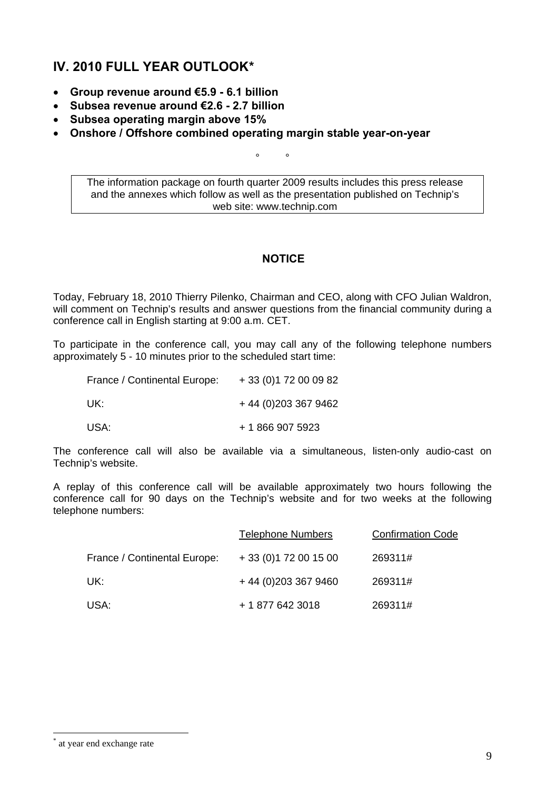# **IV. 2010 FULL YEAR OUTLOOK[\\*](#page-8-0)**

- **Group revenue around €5.9 6.1 billion**
- **Subsea revenue around €2.6 2.7 billion**
- **Subsea operating margin above 15%**
- **Onshore / Offshore combined operating margin stable year-on-year**

The information package on fourth quarter 2009 results includes this press release and the annexes which follow as well as the presentation published on Technip's web site: www.technip.com

 $\circ$   $\circ$ 

## **NOTICE**

Today, February 18, 2010 Thierry Pilenko, Chairman and CEO, along with CFO Julian Waldron, will comment on Technip's results and answer questions from the financial community during a conference call in English starting at 9:00 a.m. CET.

To participate in the conference call, you may call any of the following telephone numbers approximately 5 - 10 minutes prior to the scheduled start time:

| France / Continental Europe: | + 33 (0) 1 72 00 09 82 |
|------------------------------|------------------------|
| UK:                          | +44 (0) 203 367 9462   |

USA: + 1 866 907 5923

The conference call will also be available via a simultaneous, listen-only audio-cast on Technip's website.

A replay of this conference call will be available approximately two hours following the conference call for 90 days on the Technip's website and for two weeks at the following telephone numbers:

|                              | <b>Telephone Numbers</b> | <b>Confirmation Code</b> |
|------------------------------|--------------------------|--------------------------|
| France / Continental Europe: | $+33(0)172001500$        | 269311#                  |
| UK:                          | +44 (0) 203 367 9460     | 269311#                  |
| USA:                         | + 1 877 642 3018         | 269311#                  |

 $\overline{a}$ 

<span id="page-8-0"></span><sup>\*</sup> at year end exchange rate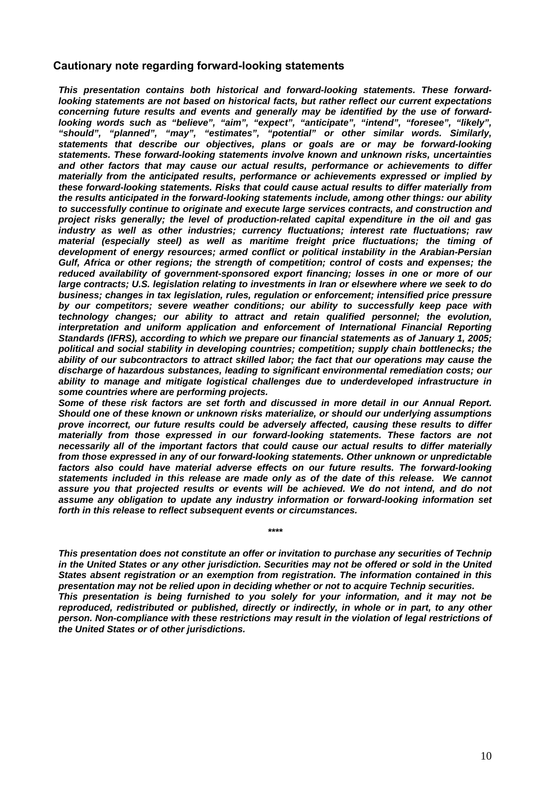#### **Cautionary note regarding forward-looking statements**

*This presentation contains both historical and forward-looking statements. These forwardlooking statements are not based on historical facts, but rather reflect our current expectations concerning future results and events and generally may be identified by the use of forwardlooking words such as "believe", "aim", "expect", "anticipate", "intend", "foresee", "likely", "should", "planned", "may", "estimates", "potential" or other similar words. Similarly, statements that describe our objectives, plans or goals are or may be forward-looking statements. These forward-looking statements involve known and unknown risks, uncertainties and other factors that may cause our actual results, performance or achievements to differ materially from the anticipated results, performance or achievements expressed or implied by these forward-looking statements. Risks that could cause actual results to differ materially from the results anticipated in the forward-looking statements include, among other things: our ability to successfully continue to originate and execute large services contracts, and construction and project risks generally; the level of production-related capital expenditure in the oil and gas industry as well as other industries; currency fluctuations; interest rate fluctuations; raw material (especially steel) as well as maritime freight price fluctuations; the timing of development of energy resources; armed conflict or political instability in the Arabian-Persian Gulf, Africa or other regions; the strength of competition; control of costs and expenses; the reduced availability of government-sponsored export financing; losses in one or more of our large contracts; U.S. legislation relating to investments in Iran or elsewhere where we seek to do business; changes in tax legislation, rules, regulation or enforcement; intensified price pressure by our competitors; severe weather conditions; our ability to successfully keep pace with technology changes; our ability to attract and retain qualified personnel; the evolution, interpretation and uniform application and enforcement of International Financial Reporting Standards (IFRS), according to which we prepare our financial statements as of January 1, 2005; political and social stability in developing countries; competition; supply chain bottlenecks; the ability of our subcontractors to attract skilled labor; the fact that our operations may cause the discharge of hazardous substances, leading to significant environmental remediation costs; our ability to manage and mitigate logistical challenges due to underdeveloped infrastructure in some countries where are performing projects.* 

*Some of these risk factors are set forth and discussed in more detail in our Annual Report. Should one of these known or unknown risks materialize, or should our underlying assumptions prove incorrect, our future results could be adversely affected, causing these results to differ materially from those expressed in our forward-looking statements. These factors are not necessarily all of the important factors that could cause our actual results to differ materially from those expressed in any of our forward-looking statements. Other unknown or unpredictable factors also could have material adverse effects on our future results. The forward-looking statements included in this release are made only as of the date of this release. We cannot*  assure you that projected results or events will be achieved. We do not intend, and do not *assume any obligation to update any industry information or forward-looking information set forth in this release to reflect subsequent events or circumstances.* 

*This presentation does not constitute an offer or invitation to purchase any securities of Technip in the United States or any other jurisdiction. Securities may not be offered or sold in the United States absent registration or an exemption from registration. The information contained in this presentation may not be relied upon in deciding whether or not to acquire Technip securities. This presentation is being furnished to you solely for your information, and it may not be reproduced, redistributed or published, directly or indirectly, in whole or in part, to any other person. Non-compliance with these restrictions may result in the violation of legal restrictions of the United States or of other jurisdictions.* 

*\*\*\*\**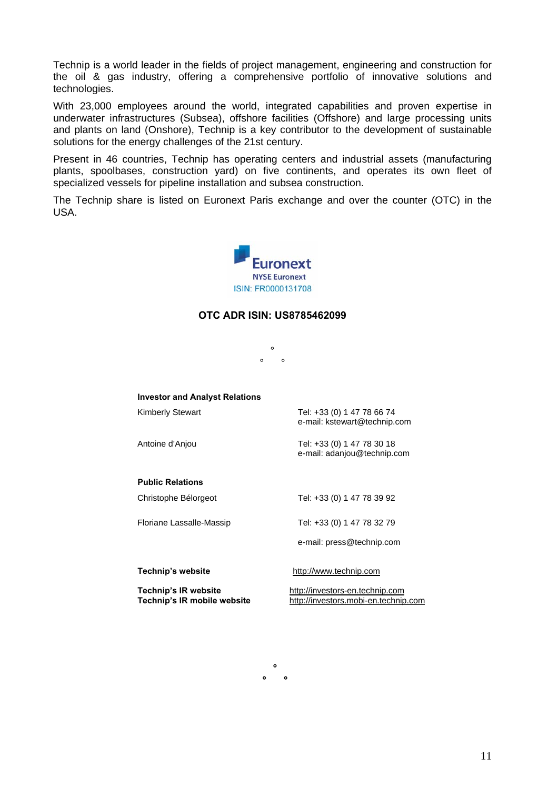Technip is a world leader in the fields of project management, engineering and construction for the oil & gas industry, offering a comprehensive portfolio of innovative solutions and technologies.

With 23,000 employees around the world, integrated capabilities and proven expertise in underwater infrastructures (Subsea), offshore facilities (Offshore) and large processing units and plants on land (Onshore), Technip is a key contributor to the development of sustainable solutions for the energy challenges of the 21st century.

Present in 46 countries, Technip has operating centers and industrial assets (manufacturing plants, spoolbases, construction yard) on five continents, and operates its own fleet of specialized vessels for pipeline installation and subsea construction.

The Technip share is listed on Euronext Paris exchange and over the counter (OTC) in the USA.



#### **OTC ADR ISIN: US8785462099**

°  $\circ$   $\circ$ 

| <b>Investor and Analyst Relations</b>               |                                                                         |
|-----------------------------------------------------|-------------------------------------------------------------------------|
| Kimberly Stewart                                    | Tel: +33 (0) 1 47 78 66 74<br>e-mail: kstewart@technip.com              |
| Antoine d'Anjou                                     | Tel: +33 (0) 1 47 78 30 18<br>e-mail: adanjou@technip.com               |
| <b>Public Relations</b>                             |                                                                         |
| Christophe Bélorgeot                                | Tel: +33 (0) 1 47 78 39 92                                              |
| Floriane Lassalle-Massip                            | Tel: +33 (0) 1 47 78 32 79                                              |
|                                                     | e-mail: press@technip.com                                               |
| Technip's website                                   | http://www.technip.com                                                  |
| Technip's IR website<br>Technip's IR mobile website | http://investors-en.technip.com<br>http://investors.mobi-en.technip.com |

**° ° °**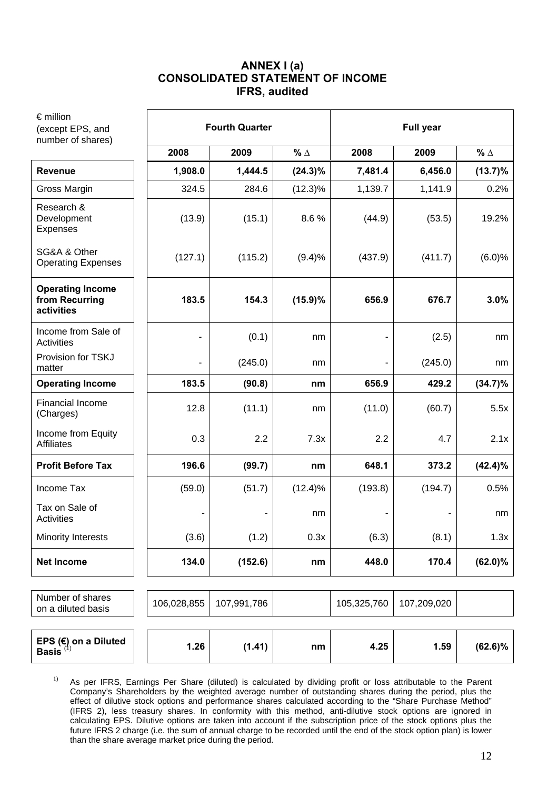## **ANNEX I (a) CONSOLIDATED STATEMENT OF INCOME IFRS, audited**

| $\epsilon$ million<br>(except EPS, and<br>number of shares) |                | <b>Fourth Quarter</b> |            | <b>Full year</b> |             |            |  |
|-------------------------------------------------------------|----------------|-----------------------|------------|------------------|-------------|------------|--|
|                                                             | 2008           | 2009                  | $% \Delta$ | 2008             | 2009        | $% \Delta$ |  |
| Revenue                                                     | 1,908.0        | 1,444.5               | $(24.3)\%$ | 7,481.4          | 6,456.0     | $(13.7)\%$ |  |
| Gross Margin                                                | 324.5          | 284.6                 | $(12.3)\%$ | 1,139.7          | 1,141.9     | 0.2%       |  |
| Research &<br>Development<br>Expenses                       | (13.9)         | (15.1)                | 8.6%       | (44.9)           | (53.5)      | 19.2%      |  |
| SG&A & Other<br><b>Operating Expenses</b>                   | (127.1)        | (115.2)               | (9.4)%     | (437.9)          | (411.7)     | (6.0)%     |  |
| <b>Operating Income</b><br>from Recurring<br>activities     | 183.5          | 154.3                 | (15.9)%    | 656.9            | 676.7       | 3.0%       |  |
| Income from Sale of<br><b>Activities</b>                    | $\blacksquare$ | (0.1)                 | nm         |                  | (2.5)       | nm         |  |
| Provision for TSKJ<br>matter                                |                | (245.0)               | nm         |                  | (245.0)     | nm         |  |
| <b>Operating Income</b>                                     | 183.5          | (90.8)                | nm         | 656.9            | 429.2       | $(34.7)\%$ |  |
| <b>Financial Income</b><br>(Charges)                        | 12.8           | (11.1)                | nm         | (11.0)           | (60.7)      | 5.5x       |  |
| Income from Equity<br><b>Affiliates</b>                     | 0.3            | 2.2                   | 7.3x       | 2.2              | 4.7         | 2.1x       |  |
| <b>Profit Before Tax</b>                                    | 196.6          | (99.7)                | nm         | 648.1            | 373.2       | $(42.4)\%$ |  |
| Income Tax                                                  | (59.0)         | (51.7)                | $(12.4)\%$ | (193.8)          | (194.7)     | 0.5%       |  |
| Tax on Sale of<br><b>Activities</b>                         |                |                       | nm         |                  |             | nm         |  |
| <b>Minority Interests</b>                                   | (3.6)          | (1.2)                 | 0.3x       | (6.3)            | (8.1)       | 1.3x       |  |
| <b>Net Income</b>                                           | 134.0          | (152.6)               | nm         | 448.0            | 170.4       | $(62.0)\%$ |  |
|                                                             |                |                       |            |                  |             |            |  |
| Number of shares<br>on a diluted basis                      | 106,028,855    | 107,991,786           |            | 105,325,760      | 107,209,020 |            |  |
| EPS $(\epsilon)$ on a Diluted<br>Basis <sup>(1)</sup>       | 1.26           | (1.41)                | nm         | 4.25             | 1.59        | $(62.6)\%$ |  |

<sup>&</sup>lt;sup>1)</sup> As per IFRS, Earnings Per Share (diluted) is calculated by dividing profit or loss attributable to the Parent Company's Shareholders by the weighted average number of outstanding shares during the period, plus the effect of dilutive stock options and performance shares calculated according to the "Share Purchase Method" (IFRS 2), less treasury shares. In conformity with this method, anti-dilutive stock options are ignored in calculating EPS. Dilutive options are taken into account if the subscription price of the stock options plus the future IFRS 2 charge (i.e. the sum of annual charge to be recorded until the end of the stock option plan) is lower than the share average market price during the period.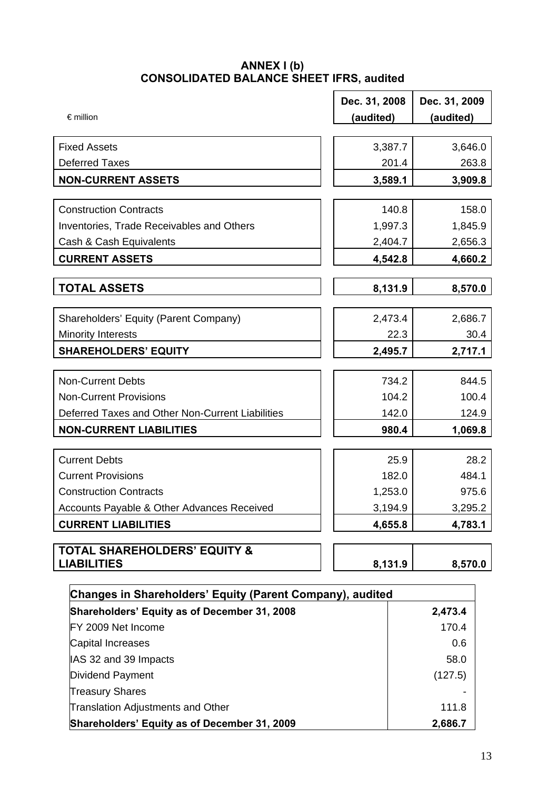## **ANNEX I (b) CONSOLIDATED BALANCE SHEET IFRS, audited**

|                                                  | Dec. 31, 2008 | Dec. 31, 2009 |
|--------------------------------------------------|---------------|---------------|
| $\epsilon$ million                               | (audited)     | (audited)     |
|                                                  |               |               |
| <b>Fixed Assets</b>                              | 3,387.7       | 3,646.0       |
| <b>Deferred Taxes</b>                            | 201.4         | 263.8         |
| <b>NON-CURRENT ASSETS</b>                        | 3,589.1       | 3,909.8       |
| <b>Construction Contracts</b>                    | 140.8         | 158.0         |
| Inventories, Trade Receivables and Others        | 1,997.3       | 1,845.9       |
| Cash & Cash Equivalents                          | 2,404.7       | 2,656.3       |
| <b>CURRENT ASSETS</b>                            | 4,542.8       | 4,660.2       |
|                                                  |               |               |
| <b>TOTAL ASSETS</b>                              | 8,131.9       | 8,570.0       |
|                                                  |               |               |
| Shareholders' Equity (Parent Company)            | 2,473.4       | 2,686.7       |
| <b>Minority Interests</b>                        | 22.3          | 30.4          |
| <b>SHAREHOLDERS' EQUITY</b>                      | 2,495.7       | 2,717.1       |
| <b>Non-Current Debts</b>                         | 734.2         | 844.5         |
| <b>Non-Current Provisions</b>                    | 104.2         | 100.4         |
| Deferred Taxes and Other Non-Current Liabilities | 142.0         | 124.9         |
| <b>NON-CURRENT LIABILITIES</b>                   | 980.4         | 1,069.8       |
|                                                  |               |               |
| <b>Current Debts</b>                             | 25.9          | 28.2          |
| <b>Current Provisions</b>                        | 182.0         | 484.1         |
| <b>Construction Contracts</b>                    | 1,253.0       | 975.6         |
| Accounts Payable & Other Advances Received       | 3,194.9       | 3,295.2       |
| <b>CURRENT LIABILITIES</b>                       | 4,655.8       | 4,783.1       |
| <b>TOTAL SHAREHOLDERS' EQUITY &amp;</b>          |               |               |
| <b>LIABILITIES</b>                               | 8,131.9       | 8,570.0       |

| Changes in Shareholders' Equity (Parent Company), audited |         |  |  |
|-----------------------------------------------------------|---------|--|--|
| Shareholders' Equity as of December 31, 2008              | 2,473.4 |  |  |
| FY 2009 Net Income                                        | 170.4   |  |  |
| Capital Increases                                         | 0.6     |  |  |
| IAS 32 and 39 Impacts                                     | 58.0    |  |  |
| Dividend Payment                                          | (127.5) |  |  |
| <b>Treasury Shares</b>                                    |         |  |  |
| <b>Translation Adjustments and Other</b>                  | 111.8   |  |  |
| Shareholders' Equity as of December 31, 2009              | 2,686.7 |  |  |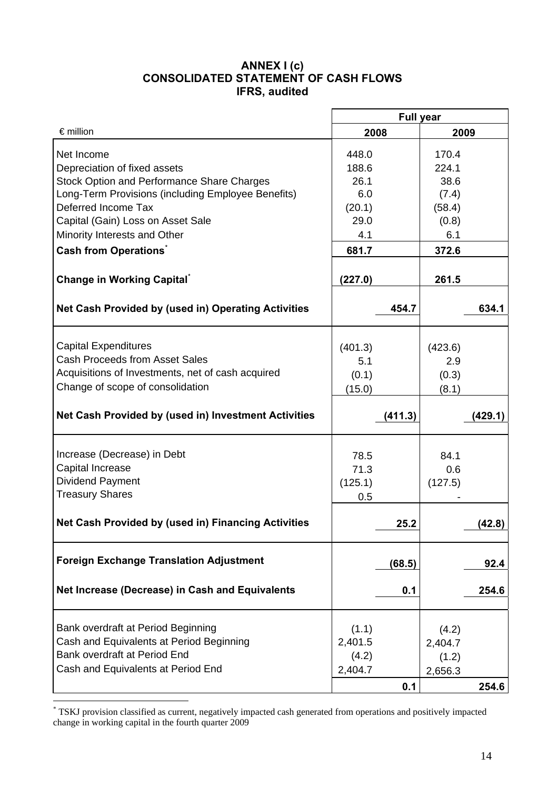### **ANNEX I (c) CONSOLIDATED STATEMENT OF CASH FLOWS IFRS, audited**

|                                                                                                                                                      | <b>Full year</b>                     |         |                                      |         |
|------------------------------------------------------------------------------------------------------------------------------------------------------|--------------------------------------|---------|--------------------------------------|---------|
| $\epsilon$ million                                                                                                                                   | 2008                                 |         | 2009                                 |         |
| Net Income                                                                                                                                           | 448.0                                |         | 170.4                                |         |
| Depreciation of fixed assets                                                                                                                         | 188.6                                |         | 224.1                                |         |
| Stock Option and Performance Share Charges                                                                                                           | 26.1                                 |         | 38.6                                 |         |
| Long-Term Provisions (including Employee Benefits)                                                                                                   | 6.0                                  |         | (7.4)                                |         |
| Deferred Income Tax                                                                                                                                  | (20.1)                               |         | (58.4)                               |         |
| Capital (Gain) Loss on Asset Sale                                                                                                                    | 29.0                                 |         | (0.8)                                |         |
| Minority Interests and Other                                                                                                                         | 4.1                                  |         | 6.1                                  |         |
| <b>Cash from Operations<sup>*</sup></b>                                                                                                              | 681.7                                |         | 372.6                                |         |
|                                                                                                                                                      |                                      |         |                                      |         |
| <b>Change in Working Capital</b>                                                                                                                     | (227.0)                              |         | 261.5                                |         |
| Net Cash Provided by (used in) Operating Activities                                                                                                  |                                      | 454.7   |                                      | 634.1   |
|                                                                                                                                                      |                                      |         |                                      |         |
| <b>Capital Expenditures</b>                                                                                                                          | (401.3)                              |         | (423.6)                              |         |
| <b>Cash Proceeds from Asset Sales</b>                                                                                                                | 5.1                                  |         | 2.9                                  |         |
| Acquisitions of Investments, net of cash acquired                                                                                                    | (0.1)                                |         | (0.3)                                |         |
| Change of scope of consolidation                                                                                                                     | (15.0)                               |         | (8.1)                                |         |
| Net Cash Provided by (used in) Investment Activities                                                                                                 |                                      | (411.3) |                                      | (429.1) |
| Increase (Decrease) in Debt                                                                                                                          | 78.5                                 |         | 84.1                                 |         |
| Capital Increase                                                                                                                                     | 71.3                                 |         | 0.6                                  |         |
| Dividend Payment                                                                                                                                     | (125.1)                              |         | (127.5)                              |         |
| <b>Treasury Shares</b>                                                                                                                               | 0.5                                  |         |                                      |         |
|                                                                                                                                                      |                                      |         |                                      |         |
| Net Cash Provided by (used in) Financing Activities                                                                                                  |                                      | 25.2    |                                      | (42.8)  |
| <b>Foreign Exchange Translation Adjustment</b>                                                                                                       |                                      | (68.5)  |                                      | 92.4    |
| Net Increase (Decrease) in Cash and Equivalents                                                                                                      |                                      | 0.1     |                                      | 254.6   |
| Bank overdraft at Period Beginning<br>Cash and Equivalents at Period Beginning<br>Bank overdraft at Period End<br>Cash and Equivalents at Period End | (1.1)<br>2,401.5<br>(4.2)<br>2,404.7 |         | (4.2)<br>2,404.7<br>(1.2)<br>2,656.3 |         |
|                                                                                                                                                      |                                      | 0.1     |                                      | 254.6   |

<span id="page-13-1"></span><span id="page-13-0"></span> \* TSKJ provision classified as current, negatively impacted cash generated from operations and positively impacted change in working capital in the fourth quarter 2009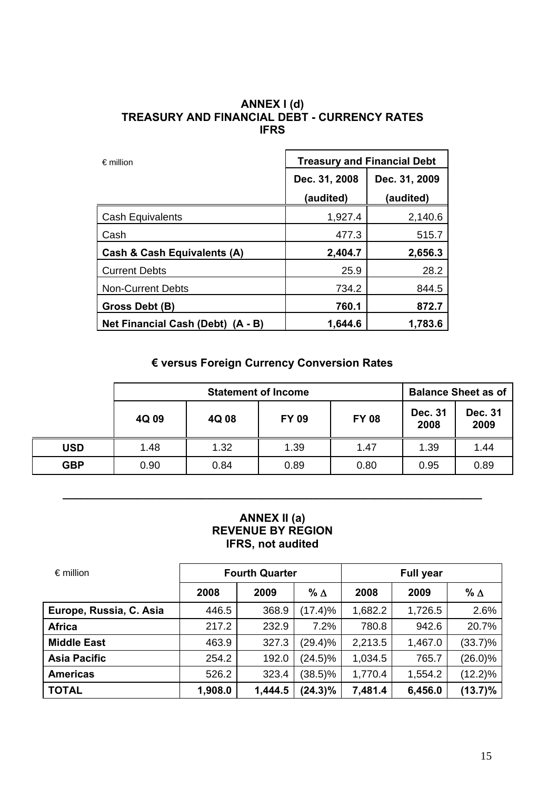## **ANNEX I (d) TREASURY AND FINANCIAL DEBT - CURRENCY RATES IFRS**

| $\epsilon$ million                            | <b>Treasury and Financial Debt</b> |               |  |  |
|-----------------------------------------------|------------------------------------|---------------|--|--|
|                                               | Dec. 31, 2008                      | Dec. 31, 2009 |  |  |
|                                               | (audited)                          | (audited)     |  |  |
| <b>Cash Equivalents</b>                       | 1,927.4                            | 2,140.6       |  |  |
| Cash                                          | 477.3                              | 515.7         |  |  |
| <b>Cash &amp; Cash Equivalents (A)</b>        | 2,404.7                            | 2,656.3       |  |  |
| <b>Current Debts</b>                          | 25.9                               | 28.2          |  |  |
| <b>Non-Current Debts</b>                      | 734.2                              | 844.5         |  |  |
| Gross Debt (B)                                | 760.1                              | 872.7         |  |  |
| <b>Net Financial Cash (Debt)</b><br>$(A - B)$ | 1,644.6                            | 1,783.6       |  |  |

## **€ versus Foreign Currency Conversion Rates**

|            | <b>Statement of Income</b> |       |              |              |                        | <b>Balance Sheet as of</b> |
|------------|----------------------------|-------|--------------|--------------|------------------------|----------------------------|
|            | 4Q 09                      | 4Q 08 | <b>FY 09</b> | <b>FY 08</b> | <b>Dec. 31</b><br>2008 | Dec. 31<br>2009            |
| <b>USD</b> | 1.48                       | 1.32  | 1.39         | 1.47         | 1.39                   | 1.44                       |
| <b>GBP</b> | 0.90                       | 0.84  | 0.89         | 0.80         | 0.95                   | 0.89                       |

## **ANNEX II (a) REVENUE BY REGION IFRS, not audited**

**\_\_\_\_\_\_\_\_\_\_\_\_\_\_\_\_\_\_\_\_\_\_\_\_\_\_\_\_\_\_\_\_\_\_\_\_\_\_\_\_\_\_\_\_\_\_\_\_\_\_\_\_\_\_\_\_\_\_\_\_\_\_\_\_\_\_\_** 

| $\epsilon$ million      | <b>Fourth Quarter</b> |         |            | <b>Full year</b> |         |            |
|-------------------------|-----------------------|---------|------------|------------------|---------|------------|
|                         | 2008                  | 2009    | $% \Delta$ | 2008             | 2009    | $% \Delta$ |
| Europe, Russia, C. Asia | 446.5                 | 368.9   | (17.4)%    | 1,682.2          | 1,726.5 | 2.6%       |
| <b>Africa</b>           | 217.2                 | 232.9   | 7.2%       | 780.8            | 942.6   | 20.7%      |
| <b>Middle East</b>      | 463.9                 | 327.3   | $(29.4)\%$ | 2,213.5          | 1,467.0 | $(33.7)\%$ |
| <b>Asia Pacific</b>     | 254.2                 | 192.0   | $(24.5)\%$ | 1,034.5          | 765.7   | $(26.0)\%$ |
| <b>Americas</b>         | 526.2                 | 323.4   | $(38.5)\%$ | 1,770.4          | 1,554.2 | $(12.2)\%$ |
| <b>TOTAL</b>            | 1,908.0               | 1,444.5 | $(24.3)\%$ | 7,481.4          | 6,456.0 | $(13.7)\%$ |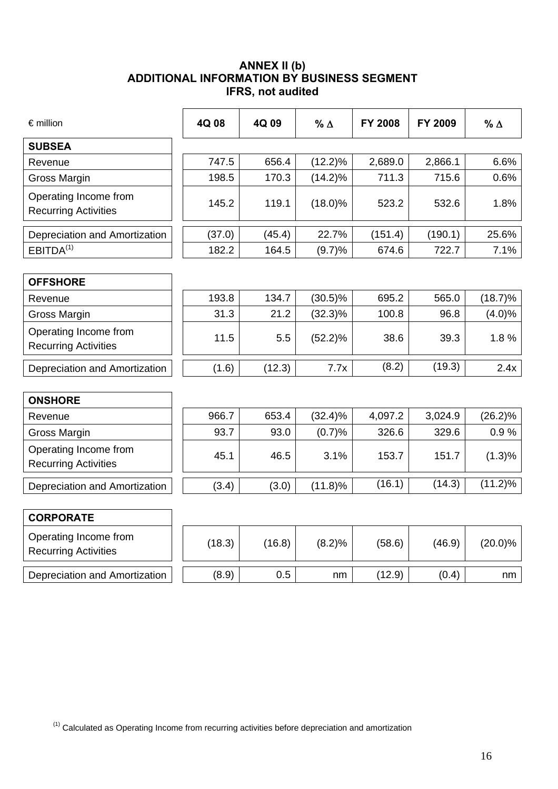### **ANNEX II (b) ADDITIONAL INFORMATION BY BUSINESS SEGMENT IFRS, not audited**

| $\epsilon$ million                                   | 4Q 08  | 4Q 09  | $% \triangle$ | <b>FY 2008</b> | FY 2009 | $% \Delta$ |
|------------------------------------------------------|--------|--------|---------------|----------------|---------|------------|
| <b>SUBSEA</b>                                        |        |        |               |                |         |            |
| Revenue                                              | 747.5  | 656.4  | $(12.2)\%$    | 2,689.0        | 2,866.1 | 6.6%       |
| Gross Margin                                         | 198.5  | 170.3  | $(14.2)\%$    | 711.3          | 715.6   | 0.6%       |
| Operating Income from<br><b>Recurring Activities</b> | 145.2  | 119.1  | $(18.0)\%$    | 523.2          | 532.6   | 1.8%       |
| Depreciation and Amortization                        | (37.0) | (45.4) | 22.7%         | (151.4)        | (190.1) | 25.6%      |
| EBITDA <sup>(1)</sup>                                | 182.2  | 164.5  | (9.7)%        | 674.6          | 722.7   | 7.1%       |
| <b>OFFSHORE</b>                                      |        |        |               |                |         |            |
| Revenue                                              | 193.8  | 134.7  | $(30.5)\%$    | 695.2          | 565.0   | $(18.7)\%$ |
| Gross Margin                                         | 31.3   | 21.2   | $(32.3)\%$    | 100.8          | 96.8    | $(4.0)\%$  |
| Operating Income from<br><b>Recurring Activities</b> | 11.5   | 5.5    | $(52.2)\%$    | 38.6           | 39.3    | 1.8%       |
| Depreciation and Amortization                        | (1.6)  | (12.3) | 7.7x          | (8.2)          | (19.3)  | 2.4x       |
| <b>ONSHORE</b>                                       |        |        |               |                |         |            |
| Revenue                                              | 966.7  | 653.4  | $(32.4)\%$    | 4,097.2        | 3,024.9 | $(26.2)\%$ |
| Gross Margin                                         | 93.7   | 93.0   | (0.7)%        | 326.6          | 329.6   | 0.9%       |
| Operating Income from<br><b>Recurring Activities</b> | 45.1   | 46.5   | 3.1%          | 153.7          | 151.7   | $(1.3)\%$  |
| Depreciation and Amortization                        | (3.4)  | (3.0)  | $(11.8)\%$    | (16.1)         | (14.3)  | $(11.2)\%$ |
| <b>CORPORATE</b>                                     |        |        |               |                |         |            |
| Operating Income from<br><b>Recurring Activities</b> | (18.3) | (16.8) | (8.2)%        | (58.6)         | (46.9)  | $(20.0)\%$ |
| Depreciation and Amortization                        | (8.9)  | 0.5    | nm            | (12.9)         | (0.4)   | nm         |

(1) Calculated as Operating Income from recurring activities before depreciation and amortization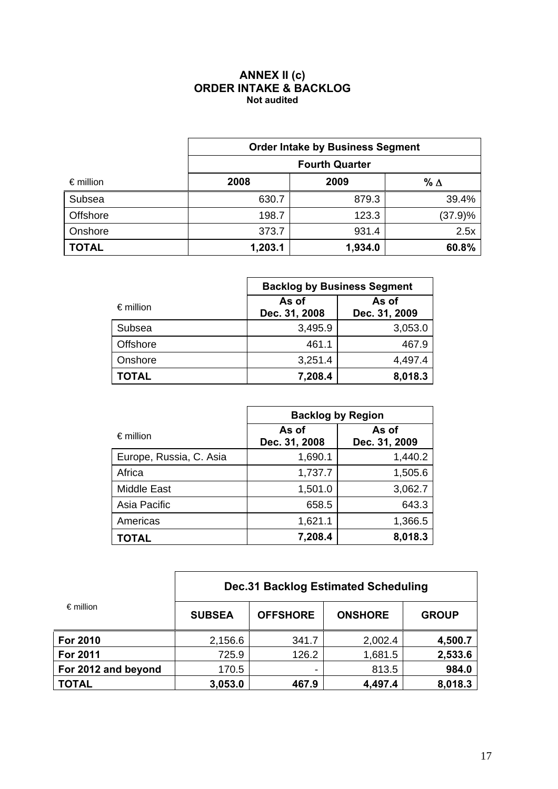#### **ANNEX II (c) ORDER INTAKE & BACKLOG Not audited**

|                    | <b>Order Intake by Business Segment</b> |         |            |  |  |
|--------------------|-----------------------------------------|---------|------------|--|--|
|                    | <b>Fourth Quarter</b>                   |         |            |  |  |
| $\epsilon$ million | 2008                                    | 2009    | $% \Delta$ |  |  |
| Subsea             | 630.7                                   | 879.3   | 39.4%      |  |  |
| Offshore           | 198.7                                   | 123.3   | (37.9)%    |  |  |
| Onshore            | 373.7                                   | 931.4   | 2.5x       |  |  |
| <b>TOTAL</b>       | 1,203.1                                 | 1,934.0 | 60.8%      |  |  |

|                    | <b>Backlog by Business Segment</b> |                        |  |  |
|--------------------|------------------------------------|------------------------|--|--|
| $\epsilon$ million | As of<br>Dec. 31, 2008             | As of<br>Dec. 31, 2009 |  |  |
| Subsea             | 3,495.9                            | 3,053.0                |  |  |
| Offshore           | 461.1                              | 467.9                  |  |  |
| Onshore            | 3,251.4                            | 4,497.4                |  |  |
| <b>TOTAL</b>       | 7,208.4                            | 8,018.3                |  |  |

|                         | <b>Backlog by Region</b> |                        |  |  |
|-------------------------|--------------------------|------------------------|--|--|
| $\epsilon$ million      | As of<br>Dec. 31, 2008   | As of<br>Dec. 31, 2009 |  |  |
| Europe, Russia, C. Asia | 1,690.1                  | 1,440.2                |  |  |
| Africa                  | 1,737.7                  | 1,505.6                |  |  |
| Middle East             | 1,501.0                  | 3,062.7                |  |  |
| Asia Pacific            | 658.5                    | 643.3                  |  |  |
| Americas                | 1,621.1                  | 1,366.5                |  |  |
| TOTAL                   | 7,208.4                  | 8,018.3                |  |  |

|                     | <b>Dec.31 Backlog Estimated Scheduling</b> |                 |                |              |  |
|---------------------|--------------------------------------------|-----------------|----------------|--------------|--|
| $\epsilon$ million  | <b>SUBSEA</b>                              | <b>OFFSHORE</b> | <b>ONSHORE</b> | <b>GROUP</b> |  |
| <b>For 2010</b>     | 2,156.6                                    | 341.7           | 2,002.4        | 4,500.7      |  |
| For 2011            | 725.9                                      | 126.2           | 1,681.5        | 2,533.6      |  |
| For 2012 and beyond | 170.5                                      | ٠               | 813.5          | 984.0        |  |
| <b>TOTAL</b>        | 3,053.0                                    | 467.9           | 4,497.4        | 8,018.3      |  |

 $\mathbf{r}$ 

 $\overline{\phantom{0}}$